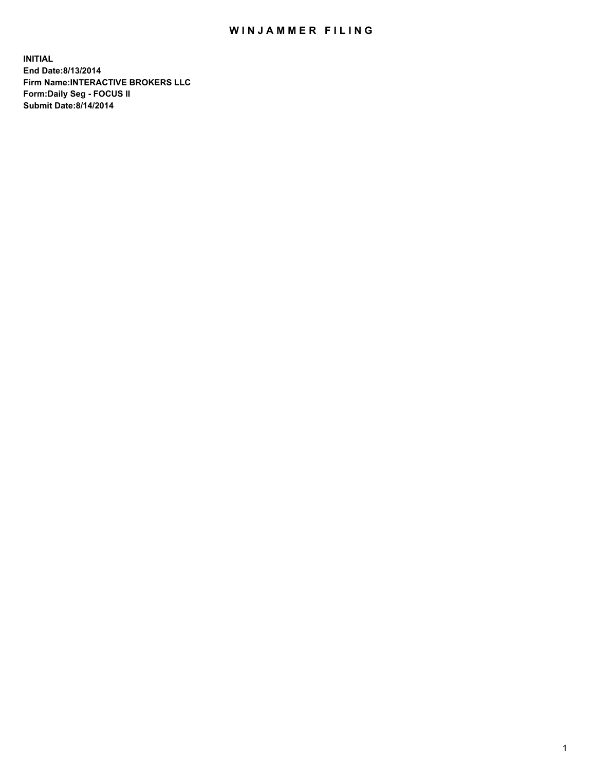## WIN JAMMER FILING

**INITIAL End Date:8/13/2014 Firm Name:INTERACTIVE BROKERS LLC Form:Daily Seg - FOCUS II Submit Date:8/14/2014**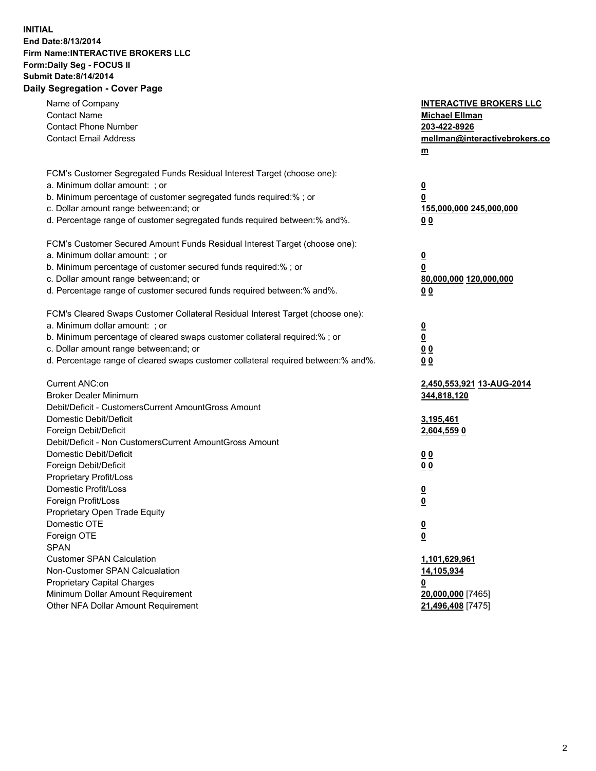## **INITIAL End Date:8/13/2014 Firm Name:INTERACTIVE BROKERS LLC Form:Daily Seg - FOCUS II Submit Date:8/14/2014 Daily Segregation - Cover Page**

| Name of Company<br><b>Contact Name</b><br><b>Contact Phone Number</b><br><b>Contact Email Address</b>    | <b>INTERACTIVE BROKERS LLC</b><br><b>Michael Ellman</b><br>203-422-8926<br>mellman@interactivebrokers.co<br>$m$ |
|----------------------------------------------------------------------------------------------------------|-----------------------------------------------------------------------------------------------------------------|
| FCM's Customer Segregated Funds Residual Interest Target (choose one):<br>a. Minimum dollar amount: ; or | $\overline{\mathbf{0}}$                                                                                         |
| b. Minimum percentage of customer segregated funds required:% ; or                                       | 0                                                                                                               |
| c. Dollar amount range between: and; or                                                                  | 155,000,000 245,000,000                                                                                         |
| d. Percentage range of customer segregated funds required between:% and%.                                | 0 <sub>0</sub>                                                                                                  |
| FCM's Customer Secured Amount Funds Residual Interest Target (choose one):                               |                                                                                                                 |
| a. Minimum dollar amount: ; or                                                                           | $\overline{\mathbf{0}}$                                                                                         |
| b. Minimum percentage of customer secured funds required:% ; or                                          | 0                                                                                                               |
| c. Dollar amount range between: and; or                                                                  | 80,000,000 120,000,000                                                                                          |
| d. Percentage range of customer secured funds required between:% and%.                                   | 0 <sub>0</sub>                                                                                                  |
| FCM's Cleared Swaps Customer Collateral Residual Interest Target (choose one):                           |                                                                                                                 |
| a. Minimum dollar amount: ; or                                                                           | $\overline{\mathbf{0}}$                                                                                         |
| b. Minimum percentage of cleared swaps customer collateral required:% ; or                               | $\overline{\mathbf{0}}$                                                                                         |
| c. Dollar amount range between: and; or                                                                  | 0 <sub>0</sub>                                                                                                  |
| d. Percentage range of cleared swaps customer collateral required between:% and%.                        | 0 <sub>0</sub>                                                                                                  |
| Current ANC:on                                                                                           | 2,450,553,921 13-AUG-2014                                                                                       |
| <b>Broker Dealer Minimum</b>                                                                             | 344,818,120                                                                                                     |
| Debit/Deficit - CustomersCurrent AmountGross Amount                                                      |                                                                                                                 |
| Domestic Debit/Deficit                                                                                   | 3,195,461                                                                                                       |
| Foreign Debit/Deficit                                                                                    | 2,604,559 0                                                                                                     |
| Debit/Deficit - Non CustomersCurrent AmountGross Amount                                                  |                                                                                                                 |
| Domestic Debit/Deficit                                                                                   | 0 <sub>0</sub>                                                                                                  |
| Foreign Debit/Deficit                                                                                    | 0 <sub>0</sub>                                                                                                  |
| Proprietary Profit/Loss                                                                                  |                                                                                                                 |
| Domestic Profit/Loss                                                                                     | $\overline{\mathbf{0}}$                                                                                         |
| Foreign Profit/Loss                                                                                      | $\underline{\mathbf{0}}$                                                                                        |
| Proprietary Open Trade Equity<br>Domestic OTE                                                            |                                                                                                                 |
|                                                                                                          | <u>0</u>                                                                                                        |
| Foreign OTE<br><b>SPAN</b>                                                                               | <u>0</u>                                                                                                        |
| <b>Customer SPAN Calculation</b>                                                                         | 1,101,629,961                                                                                                   |
| Non-Customer SPAN Calcualation                                                                           | 14,105,934                                                                                                      |
| Proprietary Capital Charges                                                                              | <u>0</u>                                                                                                        |
| Minimum Dollar Amount Requirement                                                                        | 20,000,000 [7465]                                                                                               |
| Other NFA Dollar Amount Requirement                                                                      | 21,496,408 [7475]                                                                                               |
|                                                                                                          |                                                                                                                 |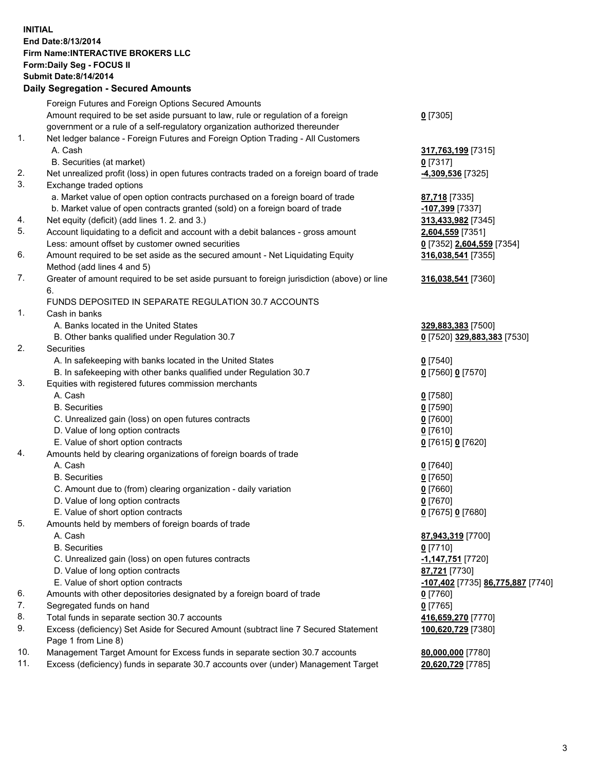## **INITIAL End Date:8/13/2014 Firm Name:INTERACTIVE BROKERS LLC Form:Daily Seg - FOCUS II Submit Date:8/14/2014 Daily Segregation - Secured Amounts**

|                | Daily Jegregation - Jeculed Aniounts                                                                       |                                   |
|----------------|------------------------------------------------------------------------------------------------------------|-----------------------------------|
|                | Foreign Futures and Foreign Options Secured Amounts                                                        |                                   |
|                | Amount required to be set aside pursuant to law, rule or regulation of a foreign                           | $0$ [7305]                        |
|                | government or a rule of a self-regulatory organization authorized thereunder                               |                                   |
| 1.             | Net ledger balance - Foreign Futures and Foreign Option Trading - All Customers                            |                                   |
|                | A. Cash                                                                                                    | 317,763,199 [7315]                |
|                | B. Securities (at market)                                                                                  | 0 [7317]                          |
| 2.             | Net unrealized profit (loss) in open futures contracts traded on a foreign board of trade                  | -4,309,536 [7325]                 |
| 3.             | Exchange traded options                                                                                    |                                   |
|                | a. Market value of open option contracts purchased on a foreign board of trade                             | 87,718 [7335]                     |
|                | b. Market value of open contracts granted (sold) on a foreign board of trade                               | -107,399 [7337]                   |
| 4.             | Net equity (deficit) (add lines 1.2. and 3.)                                                               | 313,433,982 [7345]                |
| 5.             | Account liquidating to a deficit and account with a debit balances - gross amount                          | 2,604,559 [7351]                  |
|                | Less: amount offset by customer owned securities                                                           | 0 [7352] 2,604,559 [7354]         |
| 6.             | Amount required to be set aside as the secured amount - Net Liquidating Equity                             | 316,038,541 [7355]                |
|                | Method (add lines 4 and 5)                                                                                 |                                   |
| 7.             | Greater of amount required to be set aside pursuant to foreign jurisdiction (above) or line                | 316,038,541 [7360]                |
|                | 6.                                                                                                         |                                   |
|                | FUNDS DEPOSITED IN SEPARATE REGULATION 30.7 ACCOUNTS                                                       |                                   |
| $\mathbf{1}$ . | Cash in banks                                                                                              |                                   |
|                | A. Banks located in the United States                                                                      | 329,883,383 [7500]                |
|                | B. Other banks qualified under Regulation 30.7                                                             | 0 [7520] 329,883,383 [7530]       |
| 2.             | Securities                                                                                                 |                                   |
|                | A. In safekeeping with banks located in the United States                                                  | $0$ [7540]                        |
|                | B. In safekeeping with other banks qualified under Regulation 30.7                                         | 0 [7560] 0 [7570]                 |
| 3.             | Equities with registered futures commission merchants                                                      |                                   |
|                | A. Cash                                                                                                    | $0$ [7580]                        |
|                | <b>B.</b> Securities                                                                                       | $0$ [7590]                        |
|                | C. Unrealized gain (loss) on open futures contracts                                                        | $0$ [7600]                        |
|                | D. Value of long option contracts                                                                          | $0$ [7610]                        |
|                | E. Value of short option contracts                                                                         | 0 [7615] 0 [7620]                 |
| 4.             | Amounts held by clearing organizations of foreign boards of trade                                          |                                   |
|                | A. Cash                                                                                                    | $0$ [7640]                        |
|                | <b>B.</b> Securities                                                                                       | $0$ [7650]                        |
|                | C. Amount due to (from) clearing organization - daily variation                                            | $0$ [7660]                        |
|                | D. Value of long option contracts                                                                          | $0$ [7670]                        |
|                | E. Value of short option contracts                                                                         | 0 [7675] 0 [7680]                 |
| 5.             | Amounts held by members of foreign boards of trade                                                         |                                   |
|                | A. Cash                                                                                                    | 87,943,319 [7700]                 |
|                | <b>B.</b> Securities                                                                                       | $0$ [7710]                        |
|                | C. Unrealized gain (loss) on open futures contracts                                                        | -1,147,751 [7720]                 |
|                | D. Value of long option contracts                                                                          | 87,721 [7730]                     |
|                | E. Value of short option contracts                                                                         | -107,402 [7735] 86,775,887 [7740] |
| 6.             | Amounts with other depositories designated by a foreign board of trade                                     | $0$ [7760]                        |
| 7.             | Segregated funds on hand                                                                                   | $0$ [7765]                        |
| 8.             | Total funds in separate section 30.7 accounts                                                              | 416,659,270 [7770]                |
| 9.             | Excess (deficiency) Set Aside for Secured Amount (subtract line 7 Secured Statement<br>Page 1 from Line 8) | 100,620,729 [7380]                |
| 10.            | Management Target Amount for Excess funds in separate section 30.7 accounts                                | 80,000,000 [7780]                 |
| 11.            | Excess (deficiency) funds in separate 30.7 accounts over (under) Management Target                         | 20,620,729 [7785]                 |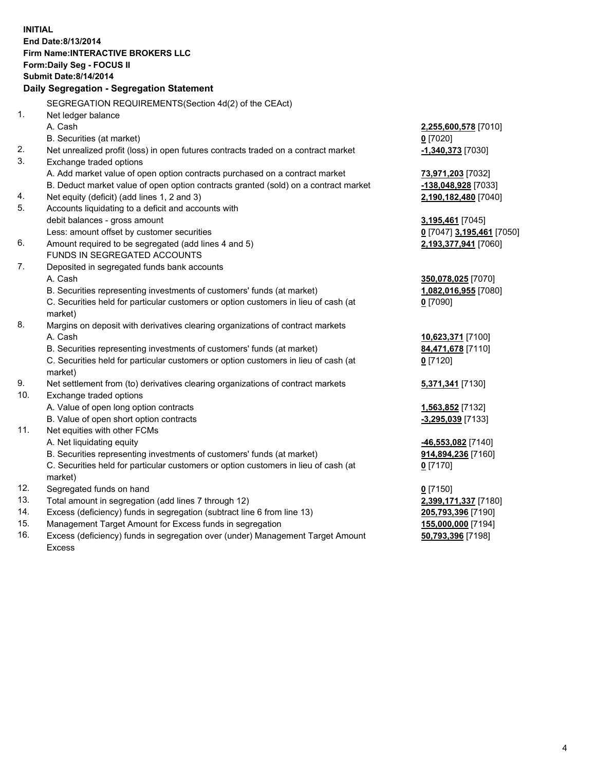**INITIAL End Date:8/13/2014 Firm Name:INTERACTIVE BROKERS LLC Form:Daily Seg - FOCUS II Submit Date:8/14/2014 Daily Segregation - Segregation Statement** SEGREGATION REQUIREMENTS(Section 4d(2) of the CEAct) 1. Net ledger balance A. Cash **2,255,600,578** [7010] B. Securities (at market) **0** [7020] 2. Net unrealized profit (loss) in open futures contracts traded on a contract market **-1,340,373** [7030] 3. Exchange traded options A. Add market value of open option contracts purchased on a contract market **73,971,203** [7032] B. Deduct market value of open option contracts granted (sold) on a contract market **-138,048,928** [7033] 4. Net equity (deficit) (add lines 1, 2 and 3) **2,190,182,480** [7040] 5. Accounts liquidating to a deficit and accounts with debit balances - gross amount **3,195,461** [7045] Less: amount offset by customer securities **0** [7047] **3,195,461** [7050] 6. Amount required to be segregated (add lines 4 and 5) **2,193,377,941** [7060] FUNDS IN SEGREGATED ACCOUNTS 7. Deposited in segregated funds bank accounts A. Cash **350,078,025** [7070] B. Securities representing investments of customers' funds (at market) **1,082,016,955** [7080] C. Securities held for particular customers or option customers in lieu of cash (at market) **0** [7090] 8. Margins on deposit with derivatives clearing organizations of contract markets A. Cash **10,623,371** [7100] B. Securities representing investments of customers' funds (at market) **84,471,678** [7110] C. Securities held for particular customers or option customers in lieu of cash (at market) **0** [7120] 9. Net settlement from (to) derivatives clearing organizations of contract markets **5,371,341** [7130] 10. Exchange traded options A. Value of open long option contracts **1,563,852** [7132] B. Value of open short option contracts **and the set of open short option contracts -3,295,039** [7133] 11. Net equities with other FCMs A. Net liquidating equity **-46,553,082** [7140] B. Securities representing investments of customers' funds (at market) **914,894,236** [7160] C. Securities held for particular customers or option customers in lieu of cash (at market) **0** [7170] 12. Segregated funds on hand **0** [7150] 13. Total amount in segregation (add lines 7 through 12) **2,399,171,337** [7180] 14. Excess (deficiency) funds in segregation (subtract line 6 from line 13) **205,793,396** [7190] 15. Management Target Amount for Excess funds in segregation **155,000,000** [7194]

16. Excess (deficiency) funds in segregation over (under) Management Target Amount Excess

**50,793,396** [7198]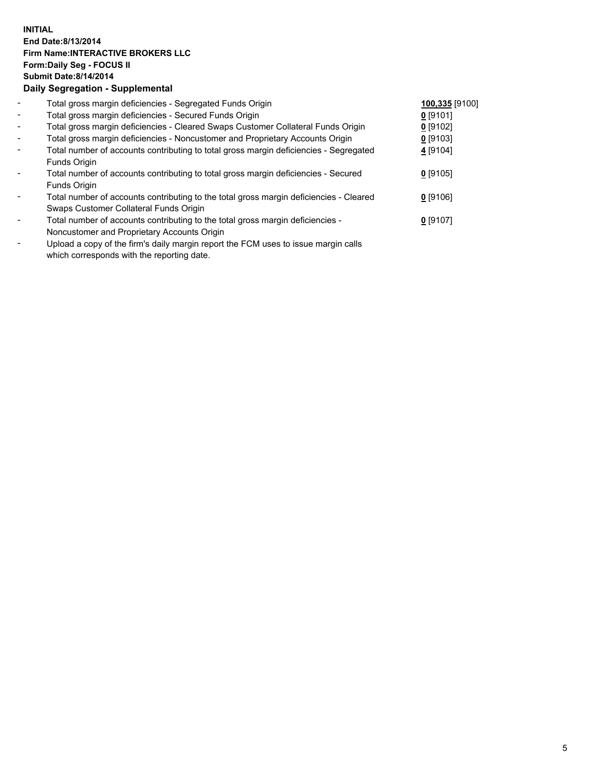## **INITIAL End Date:8/13/2014 Firm Name:INTERACTIVE BROKERS LLC Form:Daily Seg - FOCUS II Submit Date:8/14/2014 Daily Segregation - Supplemental**

| $\blacksquare$           | Total gross margin deficiencies - Segregated Funds Origin                              | 100,335 [9100] |  |
|--------------------------|----------------------------------------------------------------------------------------|----------------|--|
| $\blacksquare$           | Total gross margin deficiencies - Secured Funds Origin                                 | $0$ [9101]     |  |
| $\blacksquare$           | Total gross margin deficiencies - Cleared Swaps Customer Collateral Funds Origin       | $0$ [9102]     |  |
| $\blacksquare$           | Total gross margin deficiencies - Noncustomer and Proprietary Accounts Origin          | $0$ [9103]     |  |
| $\blacksquare$           | Total number of accounts contributing to total gross margin deficiencies - Segregated  | 4 [9104]       |  |
|                          | Funds Origin                                                                           |                |  |
| $\blacksquare$           | Total number of accounts contributing to total gross margin deficiencies - Secured     | $0$ [9105]     |  |
|                          | Funds Origin                                                                           |                |  |
| $\blacksquare$           | Total number of accounts contributing to the total gross margin deficiencies - Cleared | $0$ [9106]     |  |
|                          | Swaps Customer Collateral Funds Origin                                                 |                |  |
| $\overline{\phantom{a}}$ | Total number of accounts contributing to the total gross margin deficiencies -         | $0$ [9107]     |  |
|                          | Noncustomer and Proprietary Accounts Origin                                            |                |  |
|                          | Unlead a copy of the firmle delly margin report the ECM uses to issue margin solle.    |                |  |

Upload a copy of the firm's daily margin report the FCM uses to issue margin calls which corresponds with the reporting date.